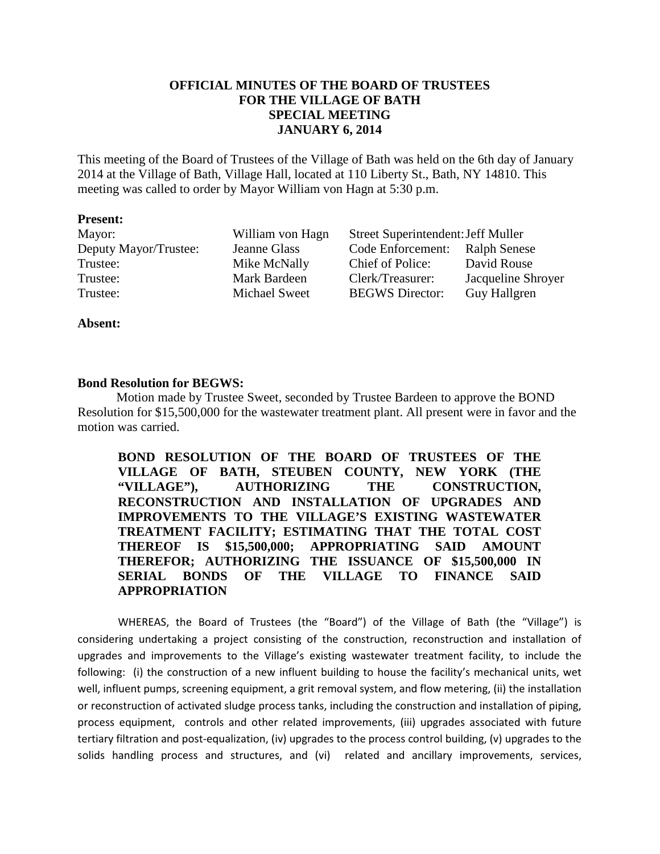# **OFFICIAL MINUTES OF THE BOARD OF TRUSTEES FOR THE VILLAGE OF BATH SPECIAL MEETING JANUARY 6, 2014**

This meeting of the Board of Trustees of the Village of Bath was held on the 6th day of January 2014 at the Village of Bath, Village Hall, located at 110 Liberty St., Bath, NY 14810. This meeting was called to order by Mayor William von Hagn at 5:30 p.m.

#### **Present:**

| Mayor:                | William von Hagn     | Street Superintendent: Jeff Muller |                     |
|-----------------------|----------------------|------------------------------------|---------------------|
| Deputy Mayor/Trustee: | Jeanne Glass         | Code Enforcement:                  | <b>Ralph Senese</b> |
| Trustee:              | Mike McNally         | Chief of Police:                   | David Rouse         |
| Trustee:              | Mark Bardeen         | Clerk/Treasurer:                   | Jacqueline Shroyer  |
| Trustee:              | <b>Michael Sweet</b> | <b>BEGWS</b> Director:             | <b>Guy Hallgren</b> |

**Absent:** 

### **Bond Resolution for BEGWS:**

Motion made by Trustee Sweet, seconded by Trustee Bardeen to approve the BOND Resolution for \$15,500,000 for the wastewater treatment plant. All present were in favor and the motion was carried.

**BOND RESOLUTION OF THE BOARD OF TRUSTEES OF THE VILLAGE OF BATH, STEUBEN COUNTY, NEW YORK (THE "VILLAGE"), AUTHORIZING THE CONSTRUCTION, RECONSTRUCTION AND INSTALLATION OF UPGRADES AND IMPROVEMENTS TO THE VILLAGE'S EXISTING WASTEWATER TREATMENT FACILITY; ESTIMATING THAT THE TOTAL COST THEREOF IS \$15,500,000; APPROPRIATING SAID AMOUNT THEREFOR; AUTHORIZING THE ISSUANCE OF \$15,500,000 IN SERIAL BONDS OF THE VILLAGE TO FINANCE SAID APPROPRIATION** 

WHEREAS, the Board of Trustees (the "Board") of the Village of Bath (the "Village") is considering undertaking a project consisting of the construction, reconstruction and installation of upgrades and improvements to the Village's existing wastewater treatment facility, to include the following: (i) the construction of a new influent building to house the facility's mechanical units, wet well, influent pumps, screening equipment, a grit removal system, and flow metering, (ii) the installation or reconstruction of activated sludge process tanks, including the construction and installation of piping, process equipment, controls and other related improvements, (iii) upgrades associated with future tertiary filtration and post-equalization, (iv) upgrades to the process control building, (v) upgrades to the solids handling process and structures, and (vi) related and ancillary improvements, services,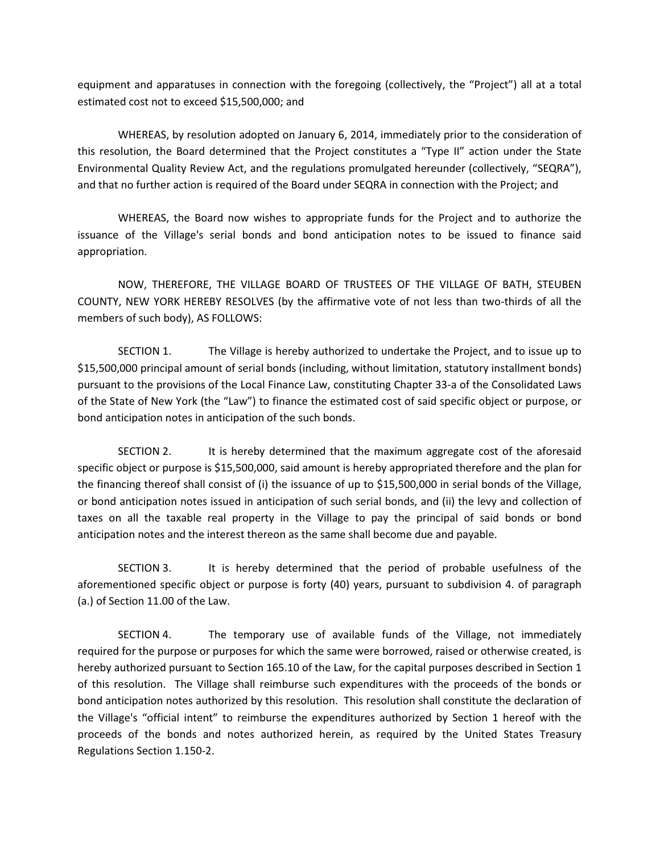equipment and apparatuses in connection with the foregoing (collectively, the "Project") all at a total estimated cost not to exceed \$15,500,000; and

WHEREAS, by resolution adopted on January 6, 2014, immediately prior to the consideration of this resolution, the Board determined that the Project constitutes a "Type II" action under the State Environmental Quality Review Act, and the regulations promulgated hereunder (collectively, "SEQRA"), and that no further action is required of the Board under SEQRA in connection with the Project; and

WHEREAS, the Board now wishes to appropriate funds for the Project and to authorize the issuance of the Village's serial bonds and bond anticipation notes to be issued to finance said appropriation.

NOW, THEREFORE, THE VILLAGE BOARD OF TRUSTEES OF THE VILLAGE OF BATH, STEUBEN COUNTY, NEW YORK HEREBY RESOLVES (by the affirmative vote of not less than two-thirds of all the members of such body), AS FOLLOWS:

SECTION 1. The Village is hereby authorized to undertake the Project, and to issue up to \$15,500,000 principal amount of serial bonds (including, without limitation, statutory installment bonds) pursuant to the provisions of the Local Finance Law, constituting Chapter 33-a of the Consolidated Laws of the State of New York (the "Law") to finance the estimated cost of said specific object or purpose, or bond anticipation notes in anticipation of the such bonds.

SECTION 2. It is hereby determined that the maximum aggregate cost of the aforesaid specific object or purpose is \$15,500,000, said amount is hereby appropriated therefore and the plan for the financing thereof shall consist of (i) the issuance of up to \$15,500,000 in serial bonds of the Village, or bond anticipation notes issued in anticipation of such serial bonds, and (ii) the levy and collection of taxes on all the taxable real property in the Village to pay the principal of said bonds or bond anticipation notes and the interest thereon as the same shall become due and payable.

SECTION 3. It is hereby determined that the period of probable usefulness of the aforementioned specific object or purpose is forty (40) years, pursuant to subdivision 4. of paragraph (a.) of Section 11.00 of the Law.

SECTION 4. The temporary use of available funds of the Village, not immediately required for the purpose or purposes for which the same were borrowed, raised or otherwise created, is hereby authorized pursuant to Section 165.10 of the Law, for the capital purposes described in Section 1 of this resolution. The Village shall reimburse such expenditures with the proceeds of the bonds or bond anticipation notes authorized by this resolution. This resolution shall constitute the declaration of the Village's "official intent" to reimburse the expenditures authorized by Section 1 hereof with the proceeds of the bonds and notes authorized herein, as required by the United States Treasury Regulations Section 1.150-2.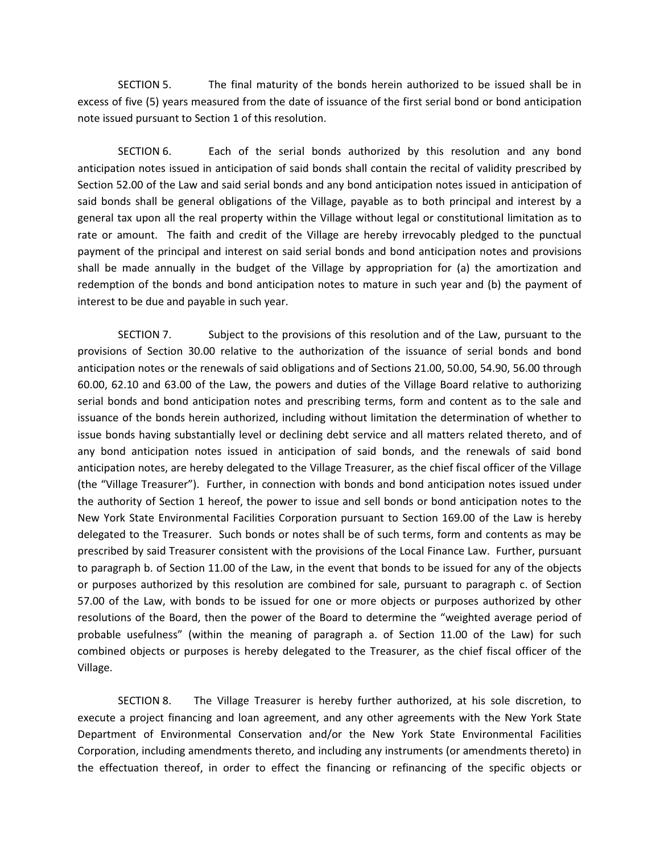SECTION 5. The final maturity of the bonds herein authorized to be issued shall be in excess of five (5) years measured from the date of issuance of the first serial bond or bond anticipation note issued pursuant to Section 1 of this resolution.

SECTION 6. Each of the serial bonds authorized by this resolution and any bond anticipation notes issued in anticipation of said bonds shall contain the recital of validity prescribed by Section 52.00 of the Law and said serial bonds and any bond anticipation notes issued in anticipation of said bonds shall be general obligations of the Village, payable as to both principal and interest by a general tax upon all the real property within the Village without legal or constitutional limitation as to rate or amount. The faith and credit of the Village are hereby irrevocably pledged to the punctual payment of the principal and interest on said serial bonds and bond anticipation notes and provisions shall be made annually in the budget of the Village by appropriation for (a) the amortization and redemption of the bonds and bond anticipation notes to mature in such year and (b) the payment of interest to be due and payable in such year.

SECTION 7. Subject to the provisions of this resolution and of the Law, pursuant to the provisions of Section 30.00 relative to the authorization of the issuance of serial bonds and bond anticipation notes or the renewals of said obligations and of Sections 21.00, 50.00, 54.90, 56.00 through 60.00, 62.10 and 63.00 of the Law, the powers and duties of the Village Board relative to authorizing serial bonds and bond anticipation notes and prescribing terms, form and content as to the sale and issuance of the bonds herein authorized, including without limitation the determination of whether to issue bonds having substantially level or declining debt service and all matters related thereto, and of any bond anticipation notes issued in anticipation of said bonds, and the renewals of said bond anticipation notes, are hereby delegated to the Village Treasurer, as the chief fiscal officer of the Village (the "Village Treasurer"). Further, in connection with bonds and bond anticipation notes issued under the authority of Section 1 hereof, the power to issue and sell bonds or bond anticipation notes to the New York State Environmental Facilities Corporation pursuant to Section 169.00 of the Law is hereby delegated to the Treasurer. Such bonds or notes shall be of such terms, form and contents as may be prescribed by said Treasurer consistent with the provisions of the Local Finance Law. Further, pursuant to paragraph b. of Section 11.00 of the Law, in the event that bonds to be issued for any of the objects or purposes authorized by this resolution are combined for sale, pursuant to paragraph c. of Section 57.00 of the Law, with bonds to be issued for one or more objects or purposes authorized by other resolutions of the Board, then the power of the Board to determine the "weighted average period of probable usefulness" (within the meaning of paragraph a. of Section 11.00 of the Law) for such combined objects or purposes is hereby delegated to the Treasurer, as the chief fiscal officer of the Village.

SECTION 8. The Village Treasurer is hereby further authorized, at his sole discretion, to execute a project financing and loan agreement, and any other agreements with the New York State Department of Environmental Conservation and/or the New York State Environmental Facilities Corporation, including amendments thereto, and including any instruments (or amendments thereto) in the effectuation thereof, in order to effect the financing or refinancing of the specific objects or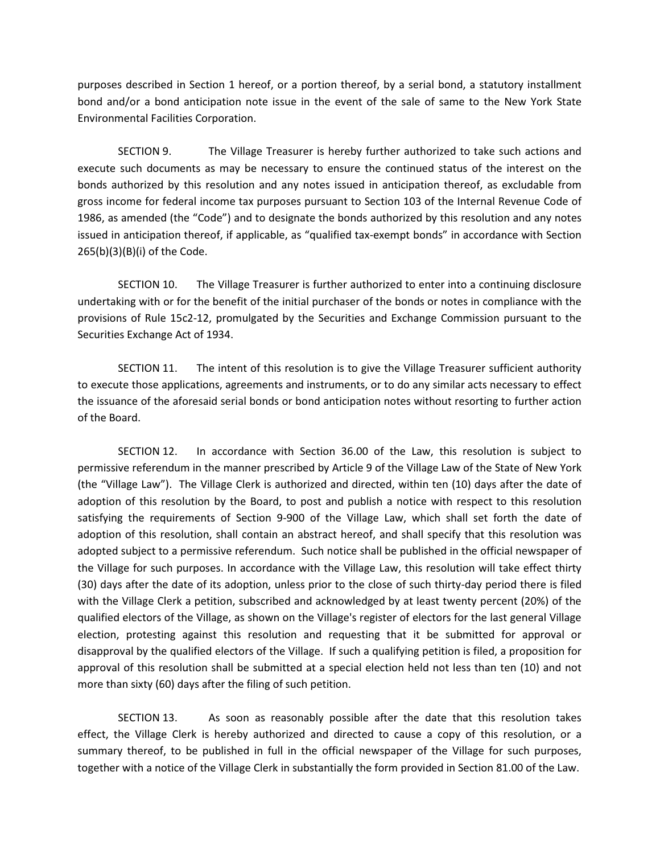purposes described in Section 1 hereof, or a portion thereof, by a serial bond, a statutory installment bond and/or a bond anticipation note issue in the event of the sale of same to the New York State Environmental Facilities Corporation.

SECTION 9. The Village Treasurer is hereby further authorized to take such actions and execute such documents as may be necessary to ensure the continued status of the interest on the bonds authorized by this resolution and any notes issued in anticipation thereof, as excludable from gross income for federal income tax purposes pursuant to Section 103 of the Internal Revenue Code of 1986, as amended (the "Code") and to designate the bonds authorized by this resolution and any notes issued in anticipation thereof, if applicable, as "qualified tax-exempt bonds" in accordance with Section 265(b)(3)(B)(i) of the Code.

SECTION 10. The Village Treasurer is further authorized to enter into a continuing disclosure undertaking with or for the benefit of the initial purchaser of the bonds or notes in compliance with the provisions of Rule 15c2-12, promulgated by the Securities and Exchange Commission pursuant to the Securities Exchange Act of 1934.

SECTION 11. The intent of this resolution is to give the Village Treasurer sufficient authority to execute those applications, agreements and instruments, or to do any similar acts necessary to effect the issuance of the aforesaid serial bonds or bond anticipation notes without resorting to further action of the Board.

SECTION 12. In accordance with Section 36.00 of the Law, this resolution is subject to permissive referendum in the manner prescribed by Article 9 of the Village Law of the State of New York (the "Village Law"). The Village Clerk is authorized and directed, within ten (10) days after the date of adoption of this resolution by the Board, to post and publish a notice with respect to this resolution satisfying the requirements of Section 9-900 of the Village Law, which shall set forth the date of adoption of this resolution, shall contain an abstract hereof, and shall specify that this resolution was adopted subject to a permissive referendum. Such notice shall be published in the official newspaper of the Village for such purposes. In accordance with the Village Law, this resolution will take effect thirty (30) days after the date of its adoption, unless prior to the close of such thirty-day period there is filed with the Village Clerk a petition, subscribed and acknowledged by at least twenty percent (20%) of the qualified electors of the Village, as shown on the Village's register of electors for the last general Village election, protesting against this resolution and requesting that it be submitted for approval or disapproval by the qualified electors of the Village. If such a qualifying petition is filed, a proposition for approval of this resolution shall be submitted at a special election held not less than ten (10) and not more than sixty (60) days after the filing of such petition.

SECTION 13. As soon as reasonably possible after the date that this resolution takes effect, the Village Clerk is hereby authorized and directed to cause a copy of this resolution, or a summary thereof, to be published in full in the official newspaper of the Village for such purposes, together with a notice of the Village Clerk in substantially the form provided in Section 81.00 of the Law.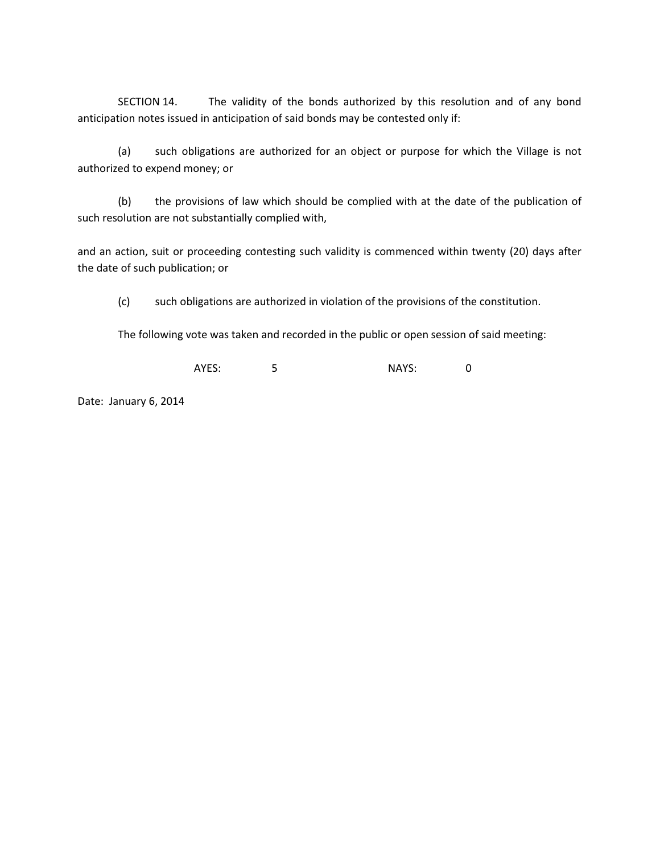SECTION 14. The validity of the bonds authorized by this resolution and of any bond anticipation notes issued in anticipation of said bonds may be contested only if:

(a) such obligations are authorized for an object or purpose for which the Village is not authorized to expend money; or

(b) the provisions of law which should be complied with at the date of the publication of such resolution are not substantially complied with,

and an action, suit or proceeding contesting such validity is commenced within twenty (20) days after the date of such publication; or

(c) such obligations are authorized in violation of the provisions of the constitution.

The following vote was taken and recorded in the public or open session of said meeting:

AYES: 5 5 NAYS: 0

Date: January 6, 2014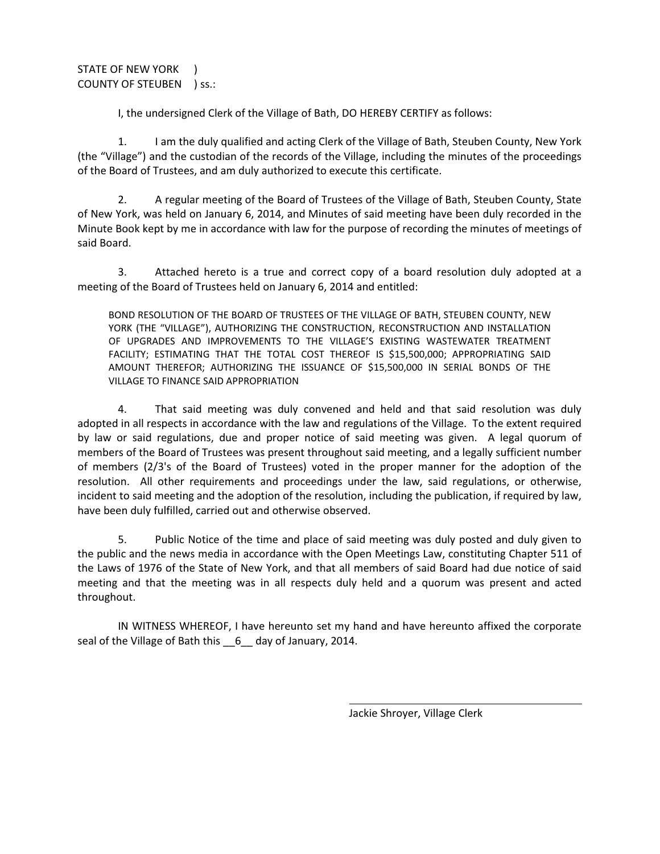STATE OF NEW YORK ) COUNTY OF STEUBEN ) ss.:

I, the undersigned Clerk of the Village of Bath, DO HEREBY CERTIFY as follows:

1. I am the duly qualified and acting Clerk of the Village of Bath, Steuben County, New York (the "Village") and the custodian of the records of the Village, including the minutes of the proceedings of the Board of Trustees, and am duly authorized to execute this certificate.

2. A regular meeting of the Board of Trustees of the Village of Bath, Steuben County, State of New York, was held on January 6, 2014, and Minutes of said meeting have been duly recorded in the Minute Book kept by me in accordance with law for the purpose of recording the minutes of meetings of said Board.

3. Attached hereto is a true and correct copy of a board resolution duly adopted at a meeting of the Board of Trustees held on January 6, 2014 and entitled:

BOND RESOLUTION OF THE BOARD OF TRUSTEES OF THE VILLAGE OF BATH, STEUBEN COUNTY, NEW YORK (THE "VILLAGE"), AUTHORIZING THE CONSTRUCTION, RECONSTRUCTION AND INSTALLATION OF UPGRADES AND IMPROVEMENTS TO THE VILLAGE'S EXISTING WASTEWATER TREATMENT FACILITY; ESTIMATING THAT THE TOTAL COST THEREOF IS \$15,500,000; APPROPRIATING SAID AMOUNT THEREFOR; AUTHORIZING THE ISSUANCE OF \$15,500,000 IN SERIAL BONDS OF THE VILLAGE TO FINANCE SAID APPROPRIATION

4. That said meeting was duly convened and held and that said resolution was duly adopted in all respects in accordance with the law and regulations of the Village. To the extent required by law or said regulations, due and proper notice of said meeting was given. A legal quorum of members of the Board of Trustees was present throughout said meeting, and a legally sufficient number of members (2/3's of the Board of Trustees) voted in the proper manner for the adoption of the resolution. All other requirements and proceedings under the law, said regulations, or otherwise, incident to said meeting and the adoption of the resolution, including the publication, if required by law, have been duly fulfilled, carried out and otherwise observed.

5. Public Notice of the time and place of said meeting was duly posted and duly given to the public and the news media in accordance with the Open Meetings Law, constituting Chapter 511 of the Laws of 1976 of the State of New York, and that all members of said Board had due notice of said meeting and that the meeting was in all respects duly held and a quorum was present and acted throughout.

IN WITNESS WHEREOF, I have hereunto set my hand and have hereunto affixed the corporate seal of the Village of Bath this \_\_6\_\_ day of January, 2014.

l

Jackie Shroyer, Village Clerk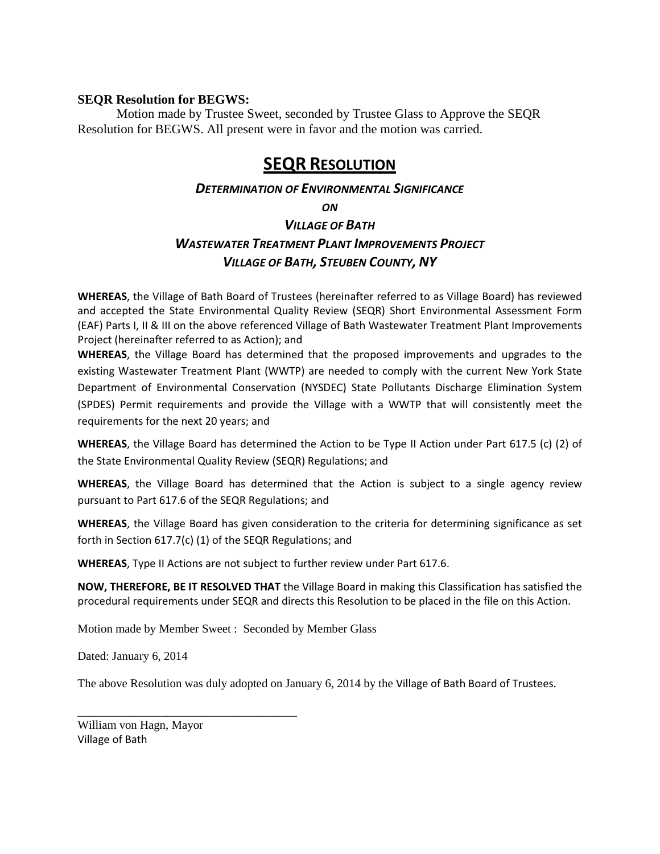## **SEQR Resolution for BEGWS:**

 Motion made by Trustee Sweet, seconded by Trustee Glass to Approve the SEQR Resolution for BEGWS. All present were in favor and the motion was carried.

# SEQR RESOLUTION

# DETERMINATION OF ENVIRONMENTAL SIGNIFICANCE

**ON** 

# VILLAGE OF BATH WASTEWATER TREATMENT PLANT IMPROVEMENTS PROJECT VILLAGE OF BATH, STEUBEN COUNTY, NY

WHEREAS, the Village of Bath Board of Trustees (hereinafter referred to as Village Board) has reviewed and accepted the State Environmental Quality Review (SEQR) Short Environmental Assessment Form (EAF) Parts I, II & III on the above referenced Village of Bath Wastewater Treatment Plant Improvements Project (hereinafter referred to as Action); and

WHEREAS, the Village Board has determined that the proposed improvements and upgrades to the existing Wastewater Treatment Plant (WWTP) are needed to comply with the current New York State Department of Environmental Conservation (NYSDEC) State Pollutants Discharge Elimination System (SPDES) Permit requirements and provide the Village with a WWTP that will consistently meet the requirements for the next 20 years; and

WHEREAS, the Village Board has determined the Action to be Type II Action under Part 617.5 (c) (2) of the State Environmental Quality Review (SEQR) Regulations; and

WHEREAS, the Village Board has determined that the Action is subject to a single agency review pursuant to Part 617.6 of the SEQR Regulations; and

WHEREAS, the Village Board has given consideration to the criteria for determining significance as set forth in Section 617.7(c) (1) of the SEQR Regulations; and

WHEREAS, Type II Actions are not subject to further review under Part 617.6.

NOW, THEREFORE, BE IT RESOLVED THAT the Village Board in making this Classification has satisfied the procedural requirements under SEQR and directs this Resolution to be placed in the file on this Action.

Motion made by Member Sweet : Seconded by Member Glass

Dated: January 6, 2014

The above Resolution was duly adopted on January 6, 2014 by the Village of Bath Board of Trustees.

William von Hagn, Mayor Village of Bath

\_\_\_\_\_\_\_\_\_\_\_\_\_\_\_\_\_\_\_\_\_\_\_\_\_\_\_\_\_\_\_\_\_\_\_\_\_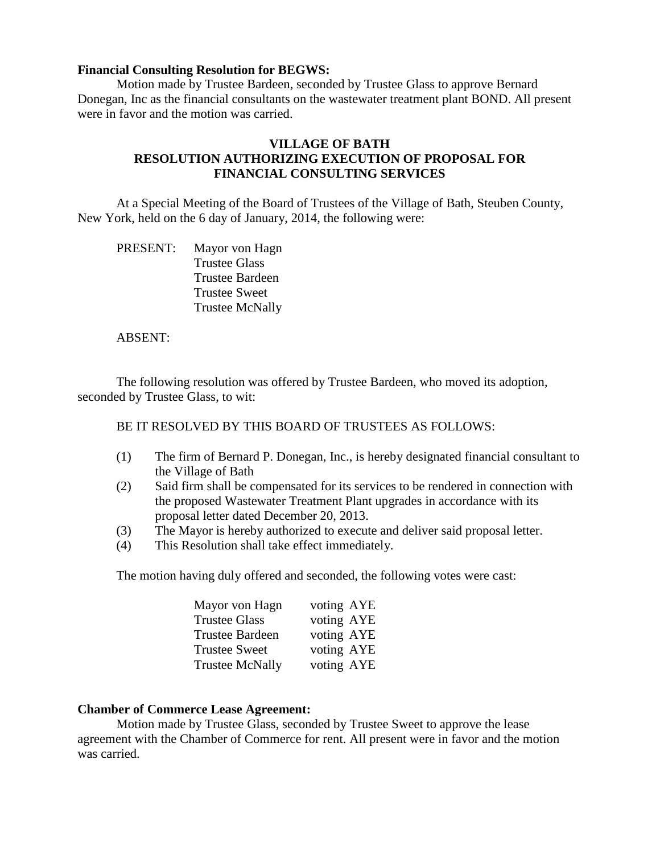## **Financial Consulting Resolution for BEGWS:**

Motion made by Trustee Bardeen, seconded by Trustee Glass to approve Bernard Donegan, Inc as the financial consultants on the wastewater treatment plant BOND. All present were in favor and the motion was carried.

# **VILLAGE OF BATH RESOLUTION AUTHORIZING EXECUTION OF PROPOSAL FOR FINANCIAL CONSULTING SERVICES**

 At a Special Meeting of the Board of Trustees of the Village of Bath, Steuben County, New York, held on the 6 day of January, 2014, the following were:

 PRESENT: Mayor von Hagn Trustee Glass Trustee Bardeen Trustee Sweet Trustee McNally

## ABSENT:

 The following resolution was offered by Trustee Bardeen, who moved its adoption, seconded by Trustee Glass, to wit:

BE IT RESOLVED BY THIS BOARD OF TRUSTEES AS FOLLOWS:

- (1) The firm of Bernard P. Donegan, Inc., is hereby designated financial consultant to the Village of Bath
- (2) Said firm shall be compensated for its services to be rendered in connection with the proposed Wastewater Treatment Plant upgrades in accordance with its proposal letter dated December 20, 2013.
- (3) The Mayor is hereby authorized to execute and deliver said proposal letter.
- (4) This Resolution shall take effect immediately.

The motion having duly offered and seconded, the following votes were cast:

| Mayor von Hagn         | voting AYE |
|------------------------|------------|
| <b>Trustee Glass</b>   | voting AYE |
| Trustee Bardeen        | voting AYE |
| <b>Trustee Sweet</b>   | voting AYE |
| <b>Trustee McNally</b> | voting AYE |

### **Chamber of Commerce Lease Agreement:**

Motion made by Trustee Glass, seconded by Trustee Sweet to approve the lease agreement with the Chamber of Commerce for rent. All present were in favor and the motion was carried.